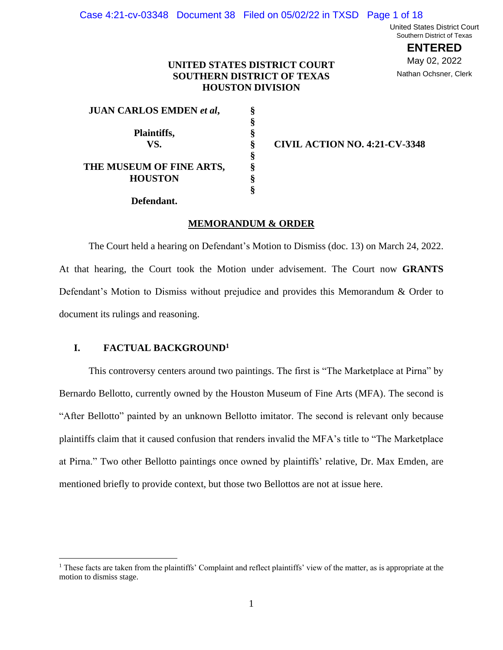United States District Court Southern District of Texas

> **ENTERED** May 02, 2022 Nathan Ochsner, Clerk

# **UNITED STATES DISTRICT COURT SOUTHERN DISTRICT OF TEXAS HOUSTON DIVISION**

**§ § § § § § §**

| <b>JUAN CARLOS EMDEN et al,</b> | ş |
|---------------------------------|---|
|                                 | ş |
| Plaintiffs,                     | Ş |
| VS.                             | Ş |
|                                 | Ş |
| THE MUSEUM OF FINE ARTS,        | Ş |
| <b>HOUSTON</b>                  | Ş |
|                                 |   |

**Defendant.**

**VS. CIVIL ACTION NO. 4:21-CV-3348**

#### **MEMORANDUM & ORDER**

The Court held a hearing on Defendant's Motion to Dismiss (doc. 13) on March 24, 2022. At that hearing, the Court took the Motion under advisement. The Court now **GRANTS** Defendant's Motion to Dismiss without prejudice and provides this Memorandum & Order to document its rulings and reasoning.

## **I. FACTUAL BACKGROUND<sup>1</sup>**

This controversy centers around two paintings. The first is "The Marketplace at Pirna" by Bernardo Bellotto, currently owned by the Houston Museum of Fine Arts (MFA). The second is "After Bellotto" painted by an unknown Bellotto imitator. The second is relevant only because plaintiffs claim that it caused confusion that renders invalid the MFA's title to "The Marketplace at Pirna." Two other Bellotto paintings once owned by plaintiffs' relative, Dr. Max Emden, are mentioned briefly to provide context, but those two Bellottos are not at issue here.

<sup>&</sup>lt;sup>1</sup> These facts are taken from the plaintiffs' Complaint and reflect plaintiffs' view of the matter, as is appropriate at the motion to dismiss stage.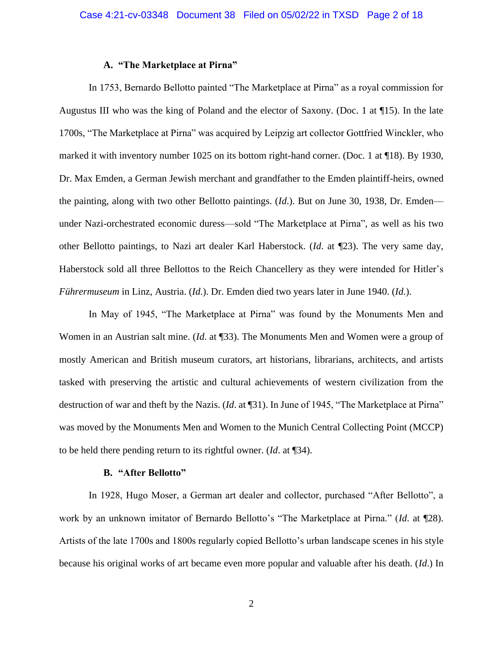## **A. "The Marketplace at Pirna"**

In 1753, Bernardo Bellotto painted "The Marketplace at Pirna" as a royal commission for Augustus III who was the king of Poland and the elector of Saxony. (Doc. 1 at ¶15). In the late 1700s, "The Marketplace at Pirna" was acquired by Leipzig art collector Gottfried Winckler, who marked it with inventory number 1025 on its bottom right-hand corner. (Doc. 1 at ¶18). By 1930, Dr. Max Emden, a German Jewish merchant and grandfather to the Emden plaintiff-heirs, owned the painting, along with two other Bellotto paintings. (*Id*.). But on June 30, 1938, Dr. Emden under Nazi-orchestrated economic duress—sold "The Marketplace at Pirna", as well as his two other Bellotto paintings, to Nazi art dealer Karl Haberstock. (*Id*. at ¶23). The very same day, Haberstock sold all three Bellottos to the Reich Chancellery as they were intended for Hitler's *Führermuseum* in Linz, Austria. (*Id*.). Dr. Emden died two years later in June 1940. (*Id*.).

In May of 1945, "The Marketplace at Pirna" was found by the Monuments Men and Women in an Austrian salt mine. (*Id*. at ¶33). The Monuments Men and Women were a group of mostly American and British museum curators, art historians, librarians, architects, and artists tasked with preserving the artistic and cultural achievements of western civilization from the destruction of war and theft by the Nazis. (*Id*. at ¶31). In June of 1945, "The Marketplace at Pirna" was moved by the Monuments Men and Women to the Munich Central Collecting Point (MCCP) to be held there pending return to its rightful owner. (*Id*. at ¶34).

#### **B. "After Bellotto"**

In 1928, Hugo Moser, a German art dealer and collector, purchased "After Bellotto", a work by an unknown imitator of Bernardo Bellotto's "The Marketplace at Pirna." (*Id*. at ¶28). Artists of the late 1700s and 1800s regularly copied Bellotto's urban landscape scenes in his style because his original works of art became even more popular and valuable after his death. (*Id*.) In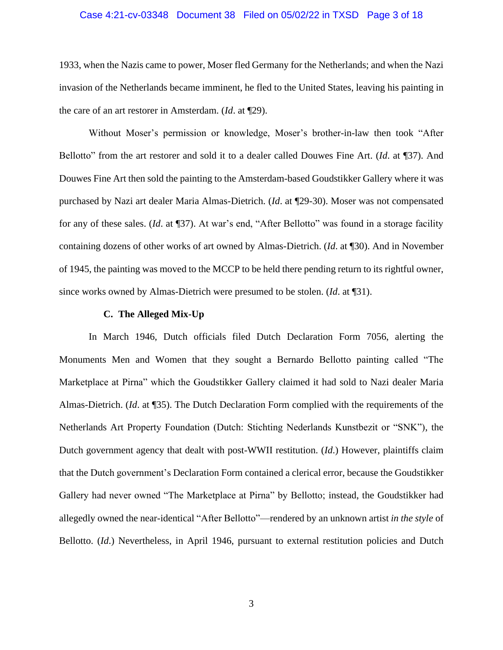## Case 4:21-cv-03348 Document 38 Filed on 05/02/22 in TXSD Page 3 of 18

1933, when the Nazis came to power, Moser fled Germany for the Netherlands; and when the Nazi invasion of the Netherlands became imminent, he fled to the United States, leaving his painting in the care of an art restorer in Amsterdam. (*Id*. at ¶29).

Without Moser's permission or knowledge, Moser's brother-in-law then took "After Bellotto" from the art restorer and sold it to a dealer called Douwes Fine Art. (*Id*. at ¶37). And Douwes Fine Art then sold the painting to the Amsterdam-based Goudstikker Gallery where it was purchased by Nazi art dealer Maria Almas-Dietrich. (*Id*. at ¶29-30). Moser was not compensated for any of these sales. (*Id*. at ¶37). At war's end, "After Bellotto" was found in a storage facility containing dozens of other works of art owned by Almas-Dietrich. (*Id*. at ¶30). And in November of 1945, the painting was moved to the MCCP to be held there pending return to its rightful owner, since works owned by Almas-Dietrich were presumed to be stolen. (*Id*. at ¶31).

## **C. The Alleged Mix-Up**

In March 1946, Dutch officials filed Dutch Declaration Form 7056, alerting the Monuments Men and Women that they sought a Bernardo Bellotto painting called "The Marketplace at Pirna" which the Goudstikker Gallery claimed it had sold to Nazi dealer Maria Almas-Dietrich. (*Id*. at ¶35). The Dutch Declaration Form complied with the requirements of the Netherlands Art Property Foundation (Dutch: Stichting Nederlands Kunstbezit or "SNK"), the Dutch government agency that dealt with post-WWII restitution. (*Id*.) However, plaintiffs claim that the Dutch government's Declaration Form contained a clerical error, because the Goudstikker Gallery had never owned "The Marketplace at Pirna" by Bellotto; instead, the Goudstikker had allegedly owned the near-identical "After Bellotto"—rendered by an unknown artist *in the style* of Bellotto. (*Id.*) Nevertheless, in April 1946, pursuant to external restitution policies and Dutch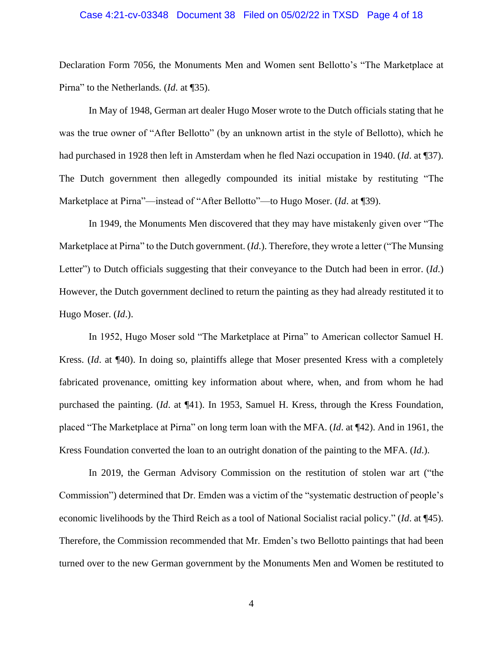### Case 4:21-cv-03348 Document 38 Filed on 05/02/22 in TXSD Page 4 of 18

Declaration Form 7056, the Monuments Men and Women sent Bellotto's "The Marketplace at Pirna" to the Netherlands. (*Id*. at ¶35).

In May of 1948, German art dealer Hugo Moser wrote to the Dutch officials stating that he was the true owner of "After Bellotto" (by an unknown artist in the style of Bellotto), which he had purchased in 1928 then left in Amsterdam when he fled Nazi occupation in 1940. (*Id*. at ¶37). The Dutch government then allegedly compounded its initial mistake by restituting "The Marketplace at Pirna"—instead of "After Bellotto"—to Hugo Moser. (*Id*. at ¶39).

In 1949, the Monuments Men discovered that they may have mistakenly given over "The Marketplace at Pirna" to the Dutch government. (*Id*.). Therefore, they wrote a letter ("The Munsing Letter") to Dutch officials suggesting that their conveyance to the Dutch had been in error. (*Id*.) However, the Dutch government declined to return the painting as they had already restituted it to Hugo Moser. (*Id*.).

In 1952, Hugo Moser sold "The Marketplace at Pirna" to American collector Samuel H. Kress. (*Id*. at ¶40). In doing so, plaintiffs allege that Moser presented Kress with a completely fabricated provenance, omitting key information about where, when, and from whom he had purchased the painting. (*Id*. at ¶41). In 1953, Samuel H. Kress, through the Kress Foundation, placed "The Marketplace at Pirna" on long term loan with the MFA. (*Id*. at ¶42). And in 1961, the Kress Foundation converted the loan to an outright donation of the painting to the MFA. (*Id*.).

In 2019, the German Advisory Commission on the restitution of stolen war art ("the Commission") determined that Dr. Emden was a victim of the "systematic destruction of people's economic livelihoods by the Third Reich as a tool of National Socialist racial policy." (*Id*. at ¶45). Therefore, the Commission recommended that Mr. Emden's two Bellotto paintings that had been turned over to the new German government by the Monuments Men and Women be restituted to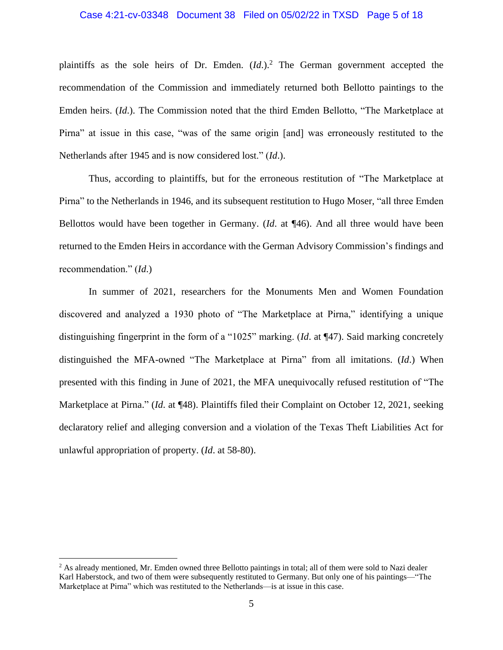## Case 4:21-cv-03348 Document 38 Filed on 05/02/22 in TXSD Page 5 of 18

plaintiffs as the sole heirs of Dr. Emden. (*Id*.).<sup>2</sup> The German government accepted the recommendation of the Commission and immediately returned both Bellotto paintings to the Emden heirs. (*Id*.). The Commission noted that the third Emden Bellotto, "The Marketplace at Pirna" at issue in this case, "was of the same origin [and] was erroneously restituted to the Netherlands after 1945 and is now considered lost." (*Id*.).

Thus, according to plaintiffs, but for the erroneous restitution of "The Marketplace at Pirna" to the Netherlands in 1946, and its subsequent restitution to Hugo Moser, "all three Emden Bellottos would have been together in Germany. (*Id*. at ¶46). And all three would have been returned to the Emden Heirs in accordance with the German Advisory Commission's findings and recommendation." (*Id*.)

In summer of 2021, researchers for the Monuments Men and Women Foundation discovered and analyzed a 1930 photo of "The Marketplace at Pirna," identifying a unique distinguishing fingerprint in the form of a "1025" marking. (*Id*. at ¶47). Said marking concretely distinguished the MFA-owned "The Marketplace at Pirna" from all imitations. (*Id*.) When presented with this finding in June of 2021, the MFA unequivocally refused restitution of "The Marketplace at Pirna." (*Id*. at ¶48). Plaintiffs filed their Complaint on October 12, 2021, seeking declaratory relief and alleging conversion and a violation of the Texas Theft Liabilities Act for unlawful appropriation of property. (*Id*. at 58-80).

<sup>&</sup>lt;sup>2</sup> As already mentioned, Mr. Emden owned three Bellotto paintings in total; all of them were sold to Nazi dealer Karl Haberstock, and two of them were subsequently restituted to Germany. But only one of his paintings—"The Marketplace at Pirna" which was restituted to the Netherlands—is at issue in this case.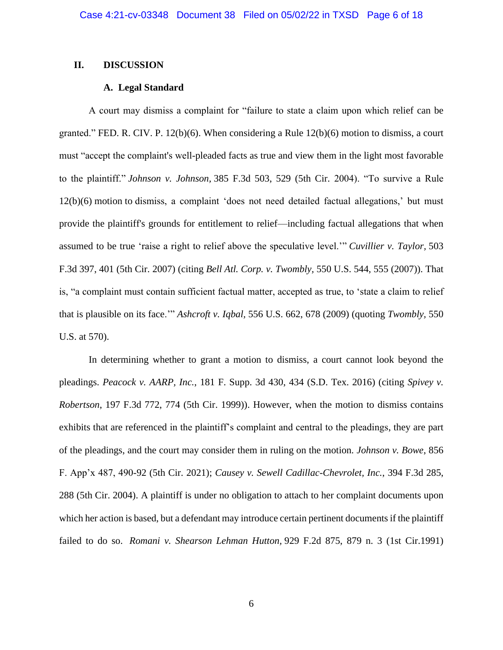## **II. DISCUSSION**

# **A. Legal Standard**

A court may dismiss a complaint for "failure to state a claim upon which relief can be granted." FED. R. CIV. P. 12(b)(6). When considering a Rule 12(b)(6) motion to dismiss, a court must "accept the complaint's well-pleaded facts as true and view them in the light most favorable to the plaintiff." *Johnson v. Johnson,* 385 F.3d 503, 529 (5th Cir. 2004). "To survive a Rule 12(b)(6) motion to dismiss, a complaint 'does not need detailed factual allegations,' but must provide the plaintiff's grounds for entitlement to relief—including factual allegations that when assumed to be true 'raise a right to relief above the speculative level.'" *Cuvillier v. Taylor,* 503 F.3d 397, 401 (5th Cir. 2007) (citing *Bell Atl. Corp. v. Twombly,* 550 U.S. 544, 555 (2007)). That is, "a complaint must contain sufficient factual matter, accepted as true, to 'state a claim to relief that is plausible on its face.'" *Ashcroft v. Iqbal,* 556 U.S. 662, 678 (2009) (quoting *Twombly,* 550 U.S. at 570).

In determining whether to grant a motion to dismiss, a court cannot look beyond the pleadings. *Peacock v. AARP, Inc.*, 181 F. Supp. 3d 430, 434 (S.D. Tex. 2016) (citing *Spivey v. Robertson*, 197 F.3d 772, 774 (5th Cir. 1999)). However, when the motion to dismiss contains exhibits that are referenced in the plaintiff's complaint and central to the pleadings, they are part of the pleadings, and the court may consider them in ruling on the motion. *Johnson v. Bowe*, 856 F. App'x 487, 490-92 (5th Cir. 2021); *Causey v. Sewell Cadillac-Chevrolet, Inc.*, 394 F.3d 285, 288 (5th Cir. 2004). A plaintiff is under no obligation to attach to her complaint documents upon which her action is based, but a defendant may introduce certain pertinent documents if the plaintiff failed to do so. *Romani v. Shearson Lehman Hutton,* 929 F.2d 875, 879 n. 3 (1st Cir.1991)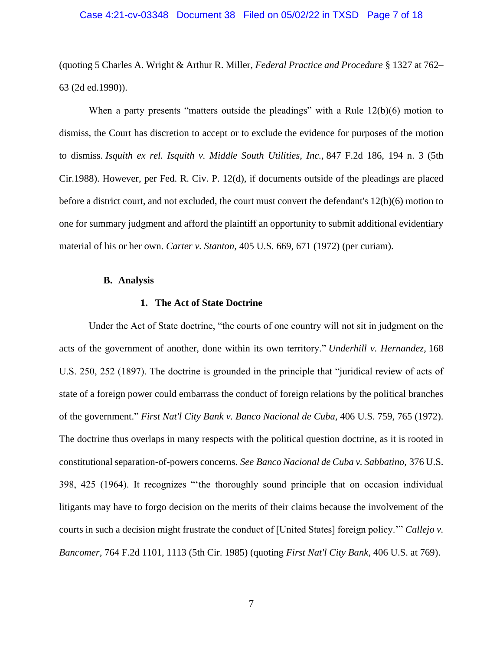## Case 4:21-cv-03348 Document 38 Filed on 05/02/22 in TXSD Page 7 of 18

(quoting 5 Charles A. Wright & Arthur R. Miller, *Federal Practice and Procedure* § 1327 at 762– 63 (2d ed.1990)).

When a party presents "matters outside the pleadings" with a Rule 12(b)(6) motion to dismiss, the Court has discretion to accept or to exclude the evidence for purposes of the motion to dismiss. *Isquith ex rel. Isquith v. Middle South Utilities, Inc.,* 847 F.2d 186, 194 n. 3 (5th Cir.1988). However, per Fed. R. Civ. P. 12(d), if documents outside of the pleadings are placed before a district court, and not excluded, the court must convert the defendant's 12(b)(6) motion to one for summary judgment and afford the plaintiff an opportunity to submit additional evidentiary material of his or her own. *Carter v. [Stanton,](https://1.next.westlaw.com/Link/Document/FullText?findType=Y&serNum=1972127101&pubNum=0000708&originatingDoc=If9e125ca957311d9a707f4371c9c34f0&refType=RP&fi=co_pp_sp_708_1234&originationContext=document&transitionType=DocumentItem&ppcid=6943742bfa744edd95df22cc05fd2df6&contextData=(sc.DocLink)#co_pp_sp_708_1234)* 405 U.S. 669, 671 (1972) (per curiam).

## **B. Analysis**

## **1. The Act of State Doctrine**

Under the Act of State doctrine, "the courts of one country will not sit in judgment on the acts of the government of another, done within its own territory." *Underhill v. Hernandez,* 168 U.S. 250, 252 (1897). The doctrine is grounded in the principle that "juridical review of acts of state of a foreign power could embarrass the conduct of foreign relations by the political branches of the government." *First Nat'l City Bank v. Banco Nacional de Cuba,* 406 U.S. 759, 765 (1972). The doctrine thus overlaps in many respects with the political question doctrine, as it is rooted in constitutional separation-of-powers concerns. *See Banco Nacional de Cuba v. Sabbatino,* 376 U.S. 398, 425 (1964). It recognizes "'the thoroughly sound principle that on occasion individual litigants may have to forgo decision on the merits of their claims because the involvement of the courts in such a decision might frustrate the conduct of [United States] foreign policy.'" *Callejo v. Bancomer,* 764 F.2d 1101, 1113 (5th Cir. 1985) (quoting *First Nat'l City Bank,* 406 U.S. at 769).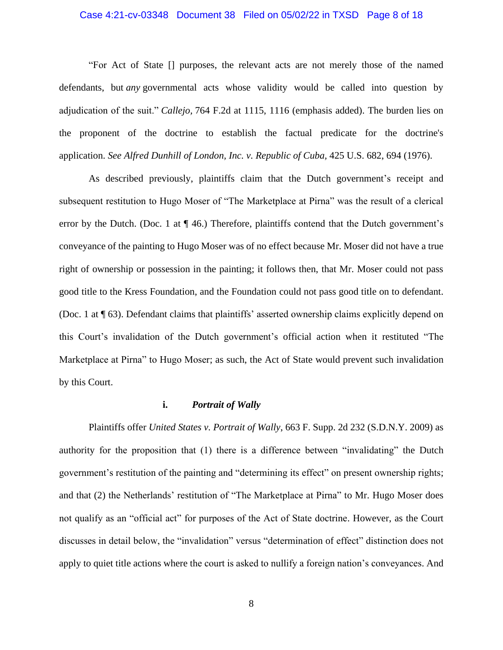## Case 4:21-cv-03348 Document 38 Filed on 05/02/22 in TXSD Page 8 of 18

"For Act of State [] purposes, the relevant acts are not merely those of the named defendants, but *any* governmental acts whose validity would be called into question by adjudication of the suit." *Callejo,* 764 F.2d at 1115, 1116 (emphasis added). The burden lies on the proponent of the doctrine to establish the factual predicate for the doctrine's application. *See Alfred Dunhill of London, Inc. v. Republic of Cuba,* 425 U.S. 682, 694 (1976).

As described previously, plaintiffs claim that the Dutch government's receipt and subsequent restitution to Hugo Moser of "The Marketplace at Pirna" was the result of a clerical error by the Dutch. (Doc. 1 at ¶ 46.) Therefore, plaintiffs contend that the Dutch government's conveyance of the painting to Hugo Moser was of no effect because Mr. Moser did not have a true right of ownership or possession in the painting; it follows then, that Mr. Moser could not pass good title to the Kress Foundation, and the Foundation could not pass good title on to defendant. (Doc. 1 at ¶ 63). Defendant claims that plaintiffs' asserted ownership claims explicitly depend on this Court's invalidation of the Dutch government's official action when it restituted "The Marketplace at Pirna" to Hugo Moser; as such, the Act of State would prevent such invalidation by this Court.

## **i.** *Portrait of Wally*

Plaintiffs offer *United States v. Portrait of Wally*, 663 F. Supp. 2d 232 (S.D.N.Y. 2009) as authority for the proposition that (1) there is a difference between "invalidating" the Dutch government's restitution of the painting and "determining its effect" on present ownership rights; and that (2) the Netherlands' restitution of "The Marketplace at Pirna" to Mr. Hugo Moser does not qualify as an "official act" for purposes of the Act of State doctrine. However, as the Court discusses in detail below, the "invalidation" versus "determination of effect" distinction does not apply to quiet title actions where the court is asked to nullify a foreign nation's conveyances. And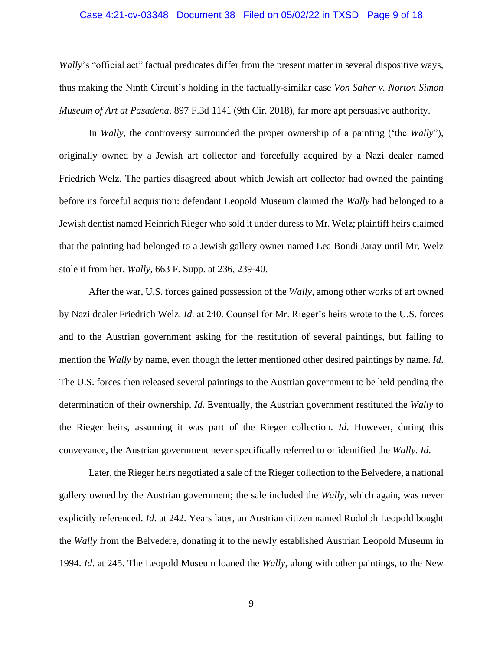## Case 4:21-cv-03348 Document 38 Filed on 05/02/22 in TXSD Page 9 of 18

*Wally*'s "official act" factual predicates differ from the present matter in several dispositive ways, thus making the Ninth Circuit's holding in the factually-similar case *Von Saher v. Norton Simon Museum of Art at Pasadena*, 897 F.3d 1141 (9th Cir. 2018), far more apt persuasive authority.

In *Wally*, the controversy surrounded the proper ownership of a painting ('the *Wally*"), originally owned by a Jewish art collector and forcefully acquired by a Nazi dealer named Friedrich Welz. The parties disagreed about which Jewish art collector had owned the painting before its forceful acquisition: defendant Leopold Museum claimed the *Wally* had belonged to a Jewish dentist named Heinrich Rieger who sold it under duress to Mr. Welz; plaintiff heirs claimed that the painting had belonged to a Jewish gallery owner named Lea Bondi Jaray until Mr. Welz stole it from her. *Wally*, 663 F. Supp. at 236, 239-40.

After the war, U.S. forces gained possession of the *Wally*, among other works of art owned by Nazi dealer Friedrich Welz. *Id*. at 240. Counsel for Mr. Rieger's heirs wrote to the U.S. forces and to the Austrian government asking for the restitution of several paintings, but failing to mention the *Wally* by name, even though the letter mentioned other desired paintings by name. *Id*. The U.S. forces then released several paintings to the Austrian government to be held pending the determination of their ownership. *Id*. Eventually, the Austrian government restituted the *Wally* to the Rieger heirs, assuming it was part of the Rieger collection. *Id*. However, during this conveyance, the Austrian government never specifically referred to or identified the *Wally*. *Id*.

Later, the Rieger heirs negotiated a sale of the Rieger collection to the Belvedere, a national gallery owned by the Austrian government; the sale included the *Wally*, which again, was never explicitly referenced. *Id*. at 242. Years later, an Austrian citizen named Rudolph Leopold bought the *Wally* from the Belvedere, donating it to the newly established Austrian Leopold Museum in 1994. *Id*. at 245. The Leopold Museum loaned the *Wally*, along with other paintings, to the New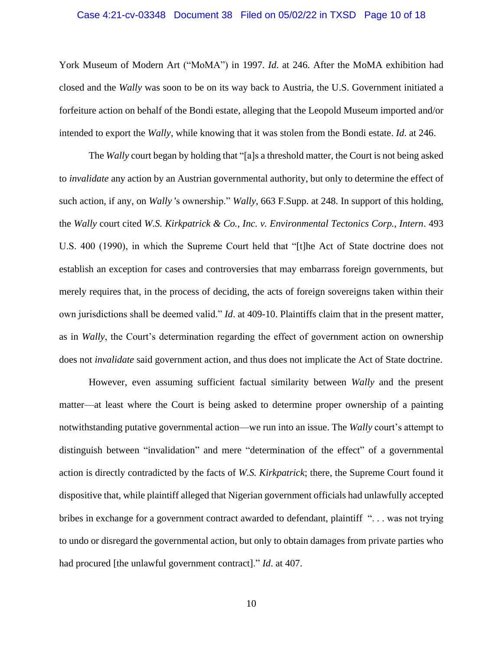## Case 4:21-cv-03348 Document 38 Filed on 05/02/22 in TXSD Page 10 of 18

York Museum of Modern Art ("MoMA") in 1997. *Id*. at 246. After the MoMA exhibition had closed and the *Wally* was soon to be on its way back to Austria, the U.S. Government initiated a forfeiture action on behalf of the Bondi estate, alleging that the Leopold Museum imported and/or intended to export the *Wally*, while knowing that it was stolen from the Bondi estate. *Id*. at 246.

The *Wally* court began by holding that "[a]s a threshold matter, the Court is not being asked to *invalidate* any action by an Austrian governmental authority, but only to determine the effect of such action, if any, on *Wally* 's ownership." *Wally*, 663 F.Supp. at 248. In support of this holding, the *Wally* court cited *W.S. Kirkpatrick & Co., Inc. v. Environmental Tectonics Corp., Intern*. 493 U.S. 400 (1990), in which the Supreme Court held that "[t]he Act of State doctrine does not establish an exception for cases and controversies that may embarrass foreign governments, but merely requires that, in the process of deciding, the acts of foreign sovereigns taken within their own jurisdictions shall be deemed valid." *Id*. at 409-10. Plaintiffs claim that in the present matter, as in *Wally*, the Court's determination regarding the effect of government action on ownership does not *invalidate* said government action, and thus does not implicate the Act of State doctrine.

However, even assuming sufficient factual similarity between *Wally* and the present matter—at least where the Court is being asked to determine proper ownership of a painting notwithstanding putative governmental action—we run into an issue. The *Wally* court's attempt to distinguish between "invalidation" and mere "determination of the effect" of a governmental action is directly contradicted by the facts of *W.S. Kirkpatrick*; there, the Supreme Court found it dispositive that, while plaintiff alleged that Nigerian government officials had unlawfully accepted bribes in exchange for a government contract awarded to defendant, plaintiff ". . . was not trying to undo or disregard the governmental action, but only to obtain damages from private parties who had procured [the unlawful government contract]." *Id*. at 407.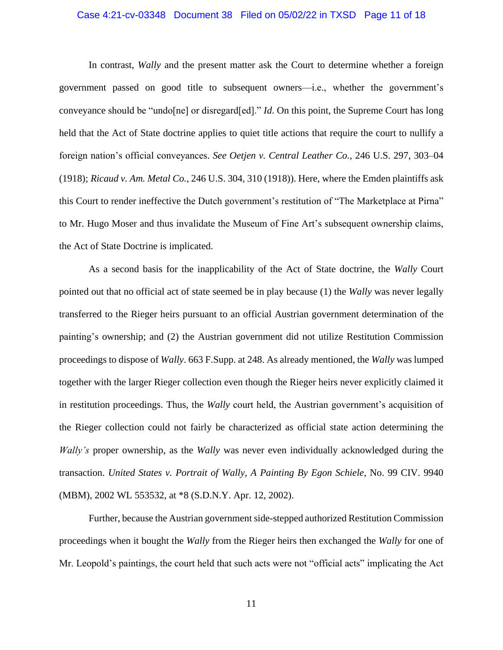## Case 4:21-cv-03348 Document 38 Filed on 05/02/22 in TXSD Page 11 of 18

In contrast, *Wally* and the present matter ask the Court to determine whether a foreign government passed on good title to subsequent owners—i.e., whether the government's conveyance should be "undo[ne] or disregard[ed]." *Id*. On this point, the Supreme Court has long held that the Act of State doctrine applies to quiet title actions that require the court to nullify a foreign nation's official conveyances. *See Oetjen v. Central Leather Co.*, 246 U.S. 297, 303–04 (1918); *Ricaud v. Am. Metal Co.*, 246 U.S. 304, 310 (1918)). Here, where the Emden plaintiffs ask this Court to render ineffective the Dutch government's restitution of "The Marketplace at Pirna" to Mr. Hugo Moser and thus invalidate the Museum of Fine Art's subsequent ownership claims, the Act of State Doctrine is implicated.

As a second basis for the inapplicability of the Act of State doctrine, the *Wally* Court pointed out that no official act of state seemed be in play because (1) the *Wally* was never legally transferred to the Rieger heirs pursuant to an official Austrian government determination of the painting's ownership; and (2) the Austrian government did not utilize Restitution Commission proceedings to dispose of *Wally*. 663 F.Supp. at 248. As already mentioned, the *Wally* was lumped together with the larger Rieger collection even though the Rieger heirs never explicitly claimed it in restitution proceedings. Thus, the *Wally* court held, the Austrian government's acquisition of the Rieger collection could not fairly be characterized as official state action determining the *Wally's* proper ownership, as the *Wally* was never even individually acknowledged during the transaction. *United States v. Portrait of Wally, A Painting By Egon Schiele*, No. 99 CIV. 9940 (MBM), 2002 WL 553532, at \*8 (S.D.N.Y. Apr. 12, 2002).

Further, because the Austrian government side-stepped authorized Restitution Commission proceedings when it bought the *Wally* from the Rieger heirs then exchanged the *Wally* for one of Mr. Leopold's paintings, the court held that such acts were not "official acts" implicating the Act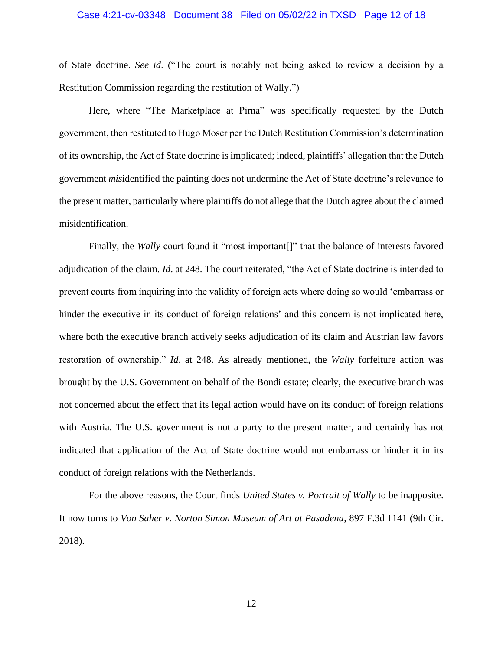## Case 4:21-cv-03348 Document 38 Filed on 05/02/22 in TXSD Page 12 of 18

of State doctrine. *See id*. ("The court is notably not being asked to review a decision by a Restitution Commission regarding the restitution of Wally.")

Here, where "The Marketplace at Pirna" was specifically requested by the Dutch government, then restituted to Hugo Moser per the Dutch Restitution Commission's determination of its ownership, the Act of State doctrine is implicated; indeed, plaintiffs' allegation that the Dutch government *mis*identified the painting does not undermine the Act of State doctrine's relevance to the present matter, particularly where plaintiffs do not allege that the Dutch agree about the claimed misidentification.

Finally, the *Wally* court found it "most important<sup>[]"</sup> that the balance of interests favored adjudication of the claim. *Id*. at 248. The court reiterated, "the Act of State doctrine is intended to prevent courts from inquiring into the validity of foreign acts where doing so would 'embarrass or hinder the executive in its conduct of foreign relations' and this concern is not implicated here, where both the executive branch actively seeks adjudication of its claim and Austrian law favors restoration of ownership." *Id*. at 248. As already mentioned, the *Wally* forfeiture action was brought by the U.S. Government on behalf of the Bondi estate; clearly, the executive branch was not concerned about the effect that its legal action would have on its conduct of foreign relations with Austria. The U.S. government is not a party to the present matter, and certainly has not indicated that application of the Act of State doctrine would not embarrass or hinder it in its conduct of foreign relations with the Netherlands.

For the above reasons, the Court finds *United States v. Portrait of Wally* to be inapposite. It now turns to *Von Saher v. Norton Simon Museum of Art at Pasadena*, 897 F.3d 1141 (9th Cir. 2018).

12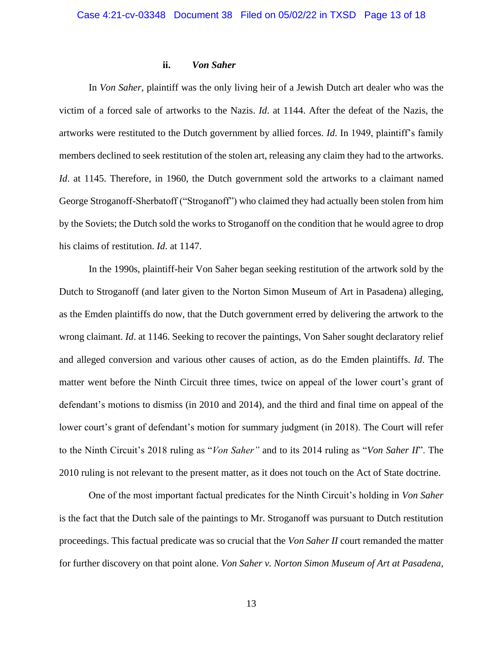## **ii.** *Von Saher*

In *Von Saher*, plaintiff was the only living heir of a Jewish Dutch art dealer who was the victim of a forced sale of artworks to the Nazis. *Id*. at 1144. After the defeat of the Nazis, the artworks were restituted to the Dutch government by allied forces. *Id*. In 1949, plaintiff's family members declined to seek restitution of the stolen art, releasing any claim they had to the artworks. *Id.* at 1145. Therefore, in 1960, the Dutch government sold the artworks to a claimant named George Stroganoff-Sherbatoff ("Stroganoff") who claimed they had actually been stolen from him by the Soviets; the Dutch sold the works to Stroganoff on the condition that he would agree to drop his claims of restitution. *Id*. at 1147.

In the 1990s, plaintiff-heir Von Saher began seeking restitution of the artwork sold by the Dutch to Stroganoff (and later given to the Norton Simon Museum of Art in Pasadena) alleging, as the Emden plaintiffs do now, that the Dutch government erred by delivering the artwork to the wrong claimant. *Id*. at 1146. Seeking to recover the paintings, Von Saher sought declaratory relief and alleged conversion and various other causes of action, as do the Emden plaintiffs. *Id*. The matter went before the Ninth Circuit three times, twice on appeal of the lower court's grant of defendant's motions to dismiss (in 2010 and 2014), and the third and final time on appeal of the lower court's grant of defendant's motion for summary judgment (in 2018). The Court will refer to the Ninth Circuit's 2018 ruling as "*Von Saher"* and to its 2014 ruling as "*Von Saher II*". The 2010 ruling is not relevant to the present matter, as it does not touch on the Act of State doctrine.

One of the most important factual predicates for the Ninth Circuit's holding in *Von Saher*  is the fact that the Dutch sale of the paintings to Mr. Stroganoff was pursuant to Dutch restitution proceedings. This factual predicate was so crucial that the *Von Saher II* court remanded the matter for further discovery on that point alone. *Von Saher v. Norton Simon Museum of Art at Pasadena,*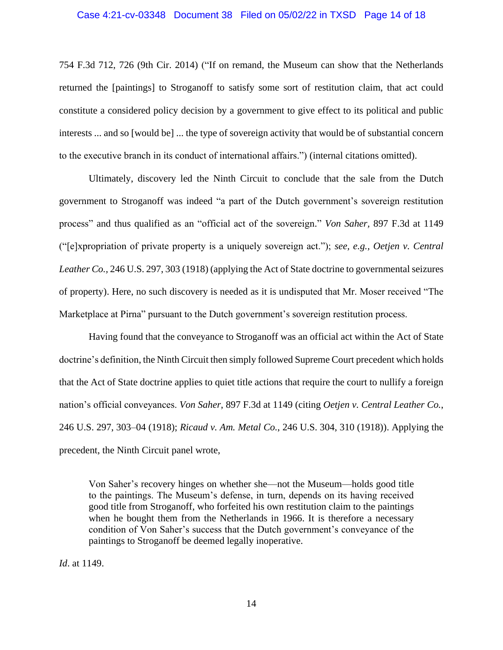## Case 4:21-cv-03348 Document 38 Filed on 05/02/22 in TXSD Page 14 of 18

754 F.3d 712, 726 (9th Cir. 2014) ("If on remand, the Museum can show that the Netherlands returned the [paintings] to Stroganoff to satisfy some sort of restitution claim, that act could constitute a considered policy decision by a government to give effect to its political and public interests ... and so [would be] ... the type of sovereign activity that would be of substantial concern to the executive branch in its conduct of international affairs.") (internal citations omitted).

Ultimately, discovery led the Ninth Circuit to conclude that the sale from the Dutch government to Stroganoff was indeed "a part of the Dutch government's sovereign restitution process" and thus qualified as an "official act of the sovereign." *Von Saher,* 897 F.3d at 1149 ("[e]xpropriation of private property is a uniquely sovereign act."); *see, e.g., Oetjen v. Central Leather Co.,* 246 U.S. 297, 303 (1918) (applying the Act of State doctrine to governmental seizures of property). Here, no such discovery is needed as it is undisputed that Mr. Moser received "The Marketplace at Pirna" pursuant to the Dutch government's sovereign restitution process.

Having found that the conveyance to Stroganoff was an official act within the Act of State doctrine's definition, the Ninth Circuit then simply followed Supreme Court precedent which holds that the Act of State doctrine applies to quiet title actions that require the court to nullify a foreign nation's official conveyances. *Von Saher*, 897 F.3d at 1149 (citing *Oetjen v. Central Leather Co.*, 246 U.S. 297, 303–04 (1918); *Ricaud v. Am. Metal Co.*, 246 U.S. 304, 310 (1918)). Applying the precedent, the Ninth Circuit panel wrote,

Von Saher's recovery hinges on whether she—not the Museum—holds good title to the paintings. The Museum's defense, in turn, depends on its having received good title from Stroganoff, who forfeited his own restitution claim to the paintings when he bought them from the Netherlands in 1966. It is therefore a necessary condition of Von Saher's success that the Dutch government's conveyance of the paintings to Stroganoff be deemed legally inoperative.

*Id*. at 1149.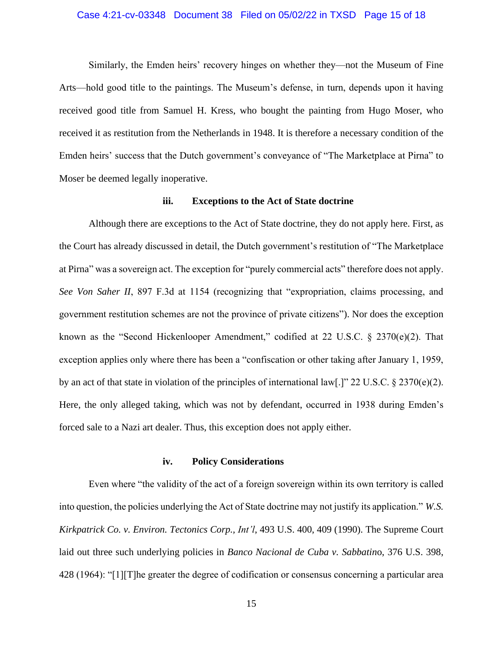## Case 4:21-cv-03348 Document 38 Filed on 05/02/22 in TXSD Page 15 of 18

Similarly, the Emden heirs' recovery hinges on whether they—not the Museum of Fine Arts—hold good title to the paintings. The Museum's defense, in turn, depends upon it having received good title from Samuel H. Kress, who bought the painting from Hugo Moser, who received it as restitution from the Netherlands in 1948. It is therefore a necessary condition of the Emden heirs' success that the Dutch government's conveyance of "The Marketplace at Pirna" to Moser be deemed legally inoperative.

## **iii. Exceptions to the Act of State doctrine**

Although there are exceptions to the Act of State doctrine, they do not apply here. First, as the Court has already discussed in detail, the Dutch government's restitution of "The Marketplace at Pirna" was a sovereign act. The exception for "purely commercial acts" therefore does not apply. *See Von Saher II*, 897 F.3d at 1154 (recognizing that "expropriation, claims processing, and government restitution schemes are not the province of private citizens"). Nor does the exception known as the "Second Hickenlooper Amendment," codified at 22 U.S.C. § 2370(e)(2). That exception applies only where there has been a "confiscation or other taking after January 1, 1959, by an act of that state in violation of the principles of international law[.]" 22 U.S.C. § 2370(e)(2). Here, the only alleged taking, which was not by defendant, occurred in 1938 during Emden's forced sale to a Nazi art dealer. Thus, this exception does not apply either.

#### **iv. Policy Considerations**

Even where "the validity of the act of a foreign sovereign within its own territory is called into question, the policies underlying the Act of State doctrine may not justify its application." *W.S. Kirkpatrick Co. v. Environ. Tectonics Corp., Int'l*, 493 U.S. 400, 409 (1990). The Supreme Court laid out three such underlying policies in *Banco Nacional de Cuba v. Sabbatin*o, 376 U.S. 398, 428 (1964): "[1][T]he greater the degree of codification or consensus concerning a particular area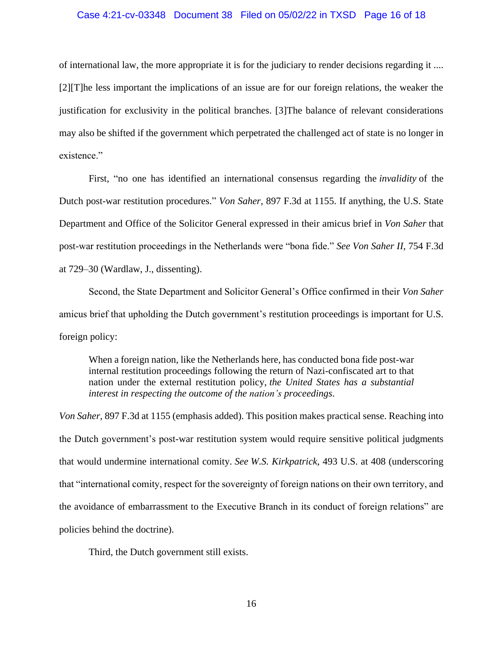## Case 4:21-cv-03348 Document 38 Filed on 05/02/22 in TXSD Page 16 of 18

of international law, the more appropriate it is for the judiciary to render decisions regarding it .... [2][T]he less important the implications of an issue are for our foreign relations, the weaker the justification for exclusivity in the political branches. [3]The balance of relevant considerations may also be shifted if the government which perpetrated the challenged act of state is no longer in existence."

First, "no one has identified an international consensus regarding the *invalidity* of the Dutch post-war restitution procedures." *Von Saher,* 897 F.3d at 1155. If anything, the U.S. State Department and Office of the Solicitor General expressed in their amicus brief in *Von Saher* that post-war restitution proceedings in the Netherlands were "bona fide." *See Von Saher II*, 754 F.3d at 729–30 (Wardlaw, J., dissenting).

Second, the State Department and Solicitor General's Office confirmed in their *Von Saher* amicus brief that upholding the Dutch government's restitution proceedings is important for U.S. foreign policy:

When a foreign nation, like the Netherlands here, has conducted bona fide post-war internal restitution proceedings following the return of Nazi-confiscated art to that nation under the external restitution policy, *the United States has a substantial interest in respecting the outcome of the nation's proceedings*.

*Von Saher*, 897 F.3d at 1155 (emphasis added). This position makes practical sense. Reaching into the Dutch government's post-war restitution system would require sensitive political judgments that would undermine international comity. *See W.S. Kirkpatrick*, 493 U.S. at 408 (underscoring that "international comity, respect for the sovereignty of foreign nations on their own territory, and the avoidance of embarrassment to the Executive Branch in its conduct of foreign relations" are policies behind the doctrine).

Third, the Dutch government still exists.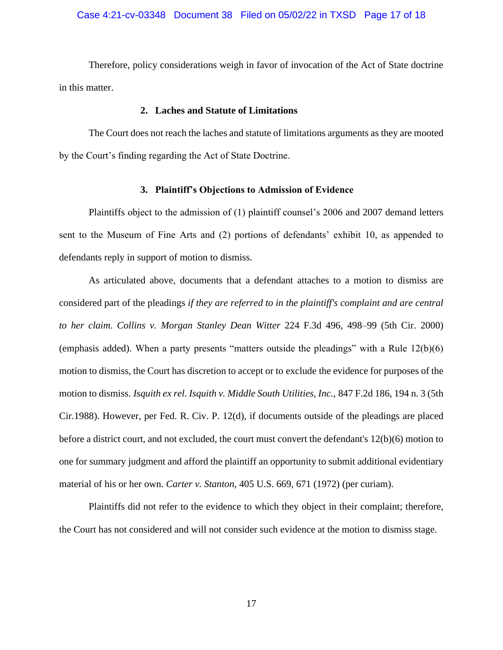Therefore, policy considerations weigh in favor of invocation of the Act of State doctrine in this matter.

# **2. Laches and Statute of Limitations**

The Court does not reach the laches and statute of limitations arguments as they are mooted by the Court's finding regarding the Act of State Doctrine.

# **3. Plaintiff's Objections to Admission of Evidence**

Plaintiffs object to the admission of (1) plaintiff counsel's 2006 and 2007 demand letters sent to the Museum of Fine Arts and (2) portions of defendants' exhibit 10, as appended to defendants reply in support of motion to dismiss.

As articulated above, documents that a defendant attaches to a motion to dismiss are considered part of the pleadings *if they are referred to in the plaintiff's complaint and are central to her claim*. *Collins v. Morgan Stanley Dean Witter* 224 F.3d 496, 498–99 (5th Cir. 2000) (emphasis added). When a party presents "matters outside the pleadings" with a Rule 12(b)(6) motion to dismiss, the Court has discretion to accept or to exclude the evidence for purposes of the motion to dismiss. *Isquith ex rel. Isquith v. Middle South Utilities, Inc.,* 847 F.2d 186, 194 n. 3 (5th Cir.1988). However, per Fed. R. Civ. P. 12(d), if documents outside of the pleadings are placed before a district court, and not excluded, the court must convert the defendant's 12(b)(6) motion to one for summary judgment and afford the plaintiff an opportunity to submit additional evidentiary material of his or her own. *Carter v. [Stanton,](https://1.next.westlaw.com/Link/Document/FullText?findType=Y&serNum=1972127101&pubNum=0000708&originatingDoc=If9e125ca957311d9a707f4371c9c34f0&refType=RP&fi=co_pp_sp_708_1234&originationContext=document&transitionType=DocumentItem&ppcid=6943742bfa744edd95df22cc05fd2df6&contextData=(sc.DocLink)#co_pp_sp_708_1234)* 405 U.S. 669, 671 (1972) (per curiam).

Plaintiffs did not refer to the evidence to which they object in their complaint; therefore, the Court has not considered and will not consider such evidence at the motion to dismiss stage.